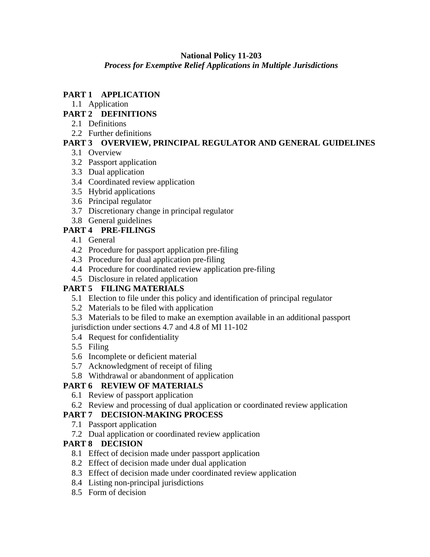### **National Policy 11-203**  *Process for Exemptive Relief Applications in Multiple Jurisdictions*

## **PART 1 [APPLICATION](#page-2-0)**

[1.1 Application](#page-2-0)

# **PART 2 [DEFINITIONS](#page-2-0)**

- [2.1 Definitions](#page-2-0)
- [2.2 Further definitions](#page-3-0)

# **PART 3 [OVERVIEW, PRINCIPAL REGULATOR AND GENERAL GUIDELINES](#page-3-0)**

- [3.1 Overview](#page-3-0)
- [3.2 Passport application](#page-4-0)
- [3.3 Dual application](#page-4-0)
- [3.4 Coordinated review application](#page-4-0)
- [3.5 Hybrid applications](#page-4-0)
- [3.6 Principal regulator](#page-4-0)
- [3.7 Discretionary change in principal regulator](#page-6-0)
- [3.8 General guidelines](#page-7-0)

# **[PART 4 PRE-FILINGS](#page-8-0)**

- [4.1 General](#page-8-0)
- [4.2 Procedure for passport application pre-filing](#page-8-0)
- [4.3 Procedure for dual application pre-filing](#page-8-0)
- [4.4 Procedure for coordinated review application pre-filing](#page-9-0)
- [4.5 Disclosure in related application](#page-9-0)

# **[PART 5 FILING MATERIALS](#page-9-0)**

- [5.1 Election to file under this policy and identification of principal regulator](#page-9-0)
- [5.2 Materials to be filed with application](#page-10-0)
- [5.3 Materials to be filed to make an exemption available in an additional passport](#page-14-0)  [jurisdiction under sections 4.7 and 4.8 of MI 11-102](#page-14-0)
- [5.4 Request for confidentiality](#page-15-0)
- [5.5 Filing](#page-15-0)
- [5.6 Incomplete or deficient material](#page-16-0)
- [5.7 Acknowledgment of receipt of filing](#page-16-0)
- [5.8 Withdrawal or abandonment of application](#page-17-0)

# **PART 6 [REVIEW OF MATERIALS](#page-17-0)**

- [6.1 Review of passport application](#page-17-0)
- [6.2 Review and processing of dual application or coordinated review application](#page-17-0)

## **PART 7 [DECISION-MAKING PROCESS](#page-19-0)**

- [7.1 Passport application](#page-19-0)
- [7.2 Dual application or coordinated review application](#page-19-0)

# **PART 8 [DECISION](#page-20-0)**

- [8.1 Effect of decision made under passport application](#page-20-0)
- [8.2 Effect of decision made under dual application](#page-21-0)
- [8.3 Effect of decision made under coordinated review application](#page-21-0)
- [8.4 Listing non-principal jurisdictions](#page-21-0)
- [8.5 Form of decision](#page-22-0)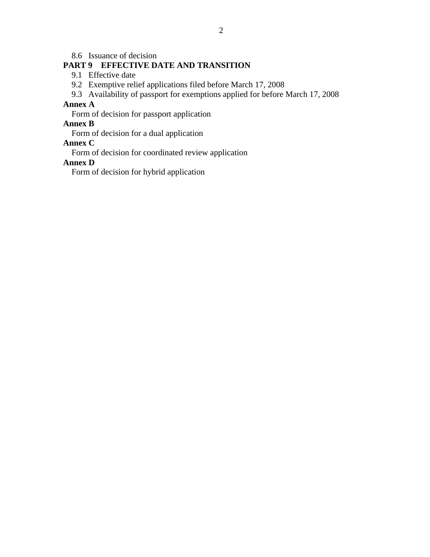### [8.6 Issuance of decision](#page-22-0)

### **PART 9 [EFFECTIVE DATE AND TRANSITION](#page-22-0)**

### [9.1 Effective date](#page-22-0)

- [9.2 Exemptive relief applications filed before March 17, 2008](#page-22-0)
- [9.3 Availability of passport for exemptions applied for before March 17, 2008](#page-22-0)

### **[Annex A](#page-24-0)**

[Form of decision for passport application](#page-24-0)

## **[Annex B](#page-26-0)**

[Form of decision for a dual application](#page-26-0)

## **[Annex C](#page-28-0)**

[Form of decision for coordinated review application](#page-28-0)

### **[Annex D](#page-30-0)**

[Form of decision for hybrid application](#page-30-0)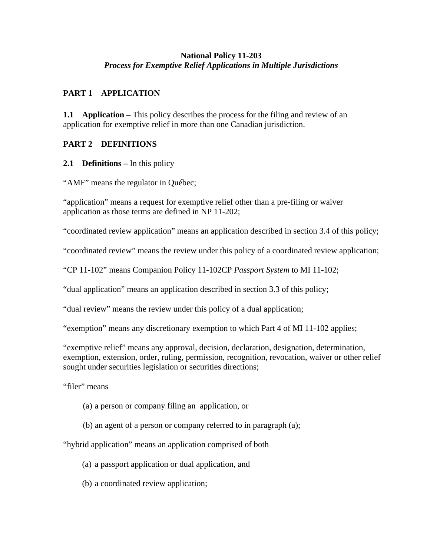## **National Policy 11-203**  *Process for Exemptive Relief Applications in Multiple Jurisdictions*

## <span id="page-2-0"></span>**PART 1 APPLICATION**

**1.1 Application** – This policy describes the process for the filing and review of an application for exemptive relief in more than one Canadian jurisdiction.

## **PART 2 DEFINITIONS**

**2.1 Definitions –** In this policy

"AMF" means the regulator in Québec;

"application" means a request for exemptive relief other than a pre-filing or waiver application as those terms are defined in NP 11-202;

"coordinated review application" means an application described in section 3.4 of this policy;

"coordinated review" means the review under this policy of a coordinated review application;

"CP 11-102" means Companion Policy 11-102CP *Passport System* to MI 11-102;

"dual application" means an application described in section 3.3 of this policy;

"dual review" means the review under this policy of a dual application;

"exemption" means any discretionary exemption to which Part 4 of MI 11-102 applies;

"exemptive relief" means any approval, decision, declaration, designation, determination, exemption, extension, order, ruling, permission, recognition, revocation, waiver or other relief sought under securities legislation or securities directions;

"filer" means

- (a) a person or company filing an application, or
- (b) an agent of a person or company referred to in paragraph (a);

"hybrid application" means an application comprised of both

- (a) a passport application or dual application, and
- (b) a coordinated review application;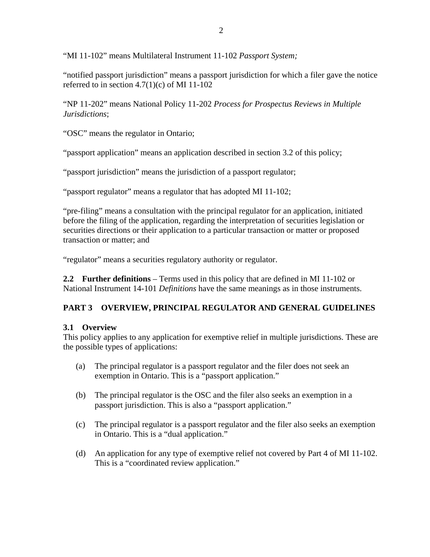<span id="page-3-0"></span>"MI 11-102" means Multilateral Instrument 11-102 *Passport System;* 

"notified passport jurisdiction" means a passport jurisdiction for which a filer gave the notice referred to in section  $4.7(1)(c)$  of MI 11-102

"NP 11-202" means National Policy 11-202 *Process for Prospectus Reviews in Multiple Jurisdictions*;

"OSC" means the regulator in Ontario;

"passport application" means an application described in section 3.2 of this policy;

"passport jurisdiction" means the jurisdiction of a passport regulator;

"passport regulator" means a regulator that has adopted MI 11-102;

"pre-filing" means a consultation with the principal regulator for an application, initiated before the filing of the application, regarding the interpretation of securities legislation or securities directions or their application to a particular transaction or matter or proposed transaction or matter; and

"regulator" means a securities regulatory authority or regulator.

**2.2 Further definitions** – Terms used in this policy that are defined in MI 11-102 or National Instrument 14-101 *Definitions* have the same meanings as in those instruments.

# **PART 3 OVERVIEW, PRINCIPAL REGULATOR AND GENERAL GUIDELINES**

## **3.1 Overview**

This policy applies to any application for exemptive relief in multiple jurisdictions. These are the possible types of applications:

- (a) The principal regulator is a passport regulator and the filer does not seek an exemption in Ontario. This is a "passport application."
- (b) The principal regulator is the OSC and the filer also seeks an exemption in a passport jurisdiction. This is also a "passport application."
- (c) The principal regulator is a passport regulator and the filer also seeks an exemption in Ontario. This is a "dual application."
- (d) An application for any type of exemptive relief not covered by Part 4 of MI 11-102. This is a "coordinated review application."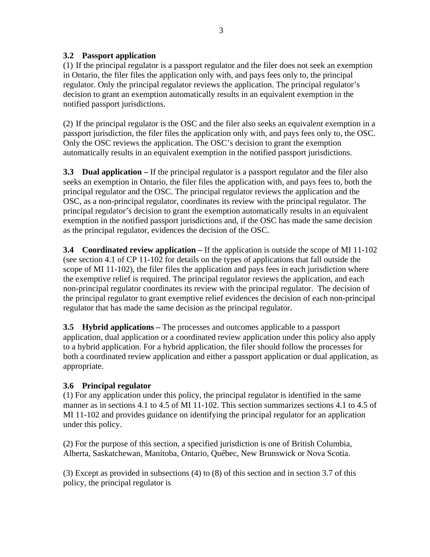## <span id="page-4-0"></span>**3.2 Passport application**

(1) If the principal regulator is a passport regulator and the filer does not seek an exemption in Ontario, the filer files the application only with, and pays fees only to, the principal regulator. Only the principal regulator reviews the application. The principal regulator's decision to grant an exemption automatically results in an equivalent exemption in the notified passport jurisdictions.

(2) If the principal regulator is the OSC and the filer also seeks an equivalent exemption in a passport jurisdiction, the filer files the application only with, and pays fees only to, the OSC. Only the OSC reviews the application. The OSC's decision to grant the exemption automatically results in an equivalent exemption in the notified passport jurisdictions.

**3.3 Dual application –** If the principal regulator is a passport regulator and the filer also seeks an exemption in Ontario, the filer files the application with, and pays fees to, both the principal regulator and the OSC. The principal regulator reviews the application and the OSC, as a non-principal regulator, coordinates its review with the principal regulator. The principal regulator's decision to grant the exemption automatically results in an equivalent exemption in the notified passport jurisdictions and, if the OSC has made the same decision as the principal regulator, evidences the decision of the OSC.

**3.4 Coordinated review application –** If the application is outside the scope of MI 11-102 (see section 4.1 of CP 11-102 for details on the types of applications that fall outside the scope of MI 11-102), the filer files the application and pays fees in each jurisdiction where the exemptive relief is required. The principal regulator reviews the application, and each non-principal regulator coordinates its review with the principal regulator. The decision of the principal regulator to grant exemptive relief evidences the decision of each non-principal regulator that has made the same decision as the principal regulator.

**3.5 Hybrid applications –** The processes and outcomes applicable to a passport application, dual application or a coordinated review application under this policy also apply to a hybrid application. For a hybrid application, the filer should follow the processes for both a coordinated review application and either a passport application or dual application, as appropriate.

## **3.6 Principal regulator**

(1) For any application under this policy, the principal regulator is identified in the same manner as in sections 4.1 to 4.5 of MI 11-102. This section summarizes sections 4.1 to 4.5 of MI 11-102 and provides guidance on identifying the principal regulator for an application under this policy.

(2) For the purpose of this section, a specified jurisdiction is one of British Columbia, Alberta, Saskatchewan, Manitoba, Ontario, Québec, New Brunswick or Nova Scotia.

(3) Except as provided in subsections (4) to (8) of this section and in section 3.7 of this policy, the principal regulator is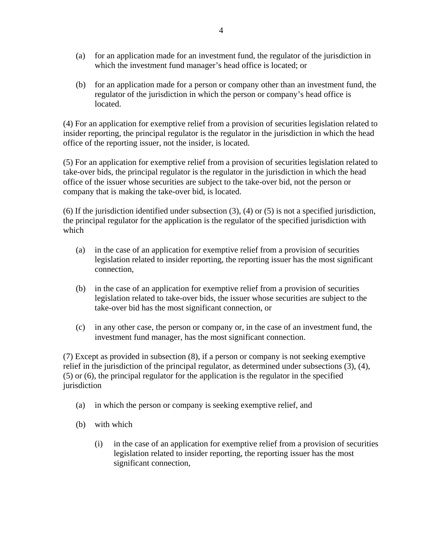- (a) for an application made for an investment fund, the regulator of the jurisdiction in which the investment fund manager's head office is located; or
- (b) for an application made for a person or company other than an investment fund, the regulator of the jurisdiction in which the person or company's head office is located.

(4) For an application for exemptive relief from a provision of securities legislation related to insider reporting, the principal regulator is the regulator in the jurisdiction in which the head office of the reporting issuer, not the insider, is located.

(5) For an application for exemptive relief from a provision of securities legislation related to take-over bids, the principal regulator is the regulator in the jurisdiction in which the head office of the issuer whose securities are subject to the take-over bid, not the person or company that is making the take-over bid, is located.

(6) If the jurisdiction identified under subsection (3), (4) or (5) is not a specified jurisdiction, the principal regulator for the application is the regulator of the specified jurisdiction with which

- (a) in the case of an application for exemptive relief from a provision of securities legislation related to insider reporting, the reporting issuer has the most significant connection,
- (b) in the case of an application for exemptive relief from a provision of securities legislation related to take-over bids, the issuer whose securities are subject to the take-over bid has the most significant connection, or
- (c) in any other case, the person or company or, in the case of an investment fund, the investment fund manager, has the most significant connection.

(7) Except as provided in subsection (8), if a person or company is not seeking exemptive relief in the jurisdiction of the principal regulator, as determined under subsections (3), (4), (5) or (6), the principal regulator for the application is the regulator in the specified jurisdiction

- (a) in which the person or company is seeking exemptive relief, and
- (b) with which
	- (i) in the case of an application for exemptive relief from a provision of securities legislation related to insider reporting, the reporting issuer has the most significant connection,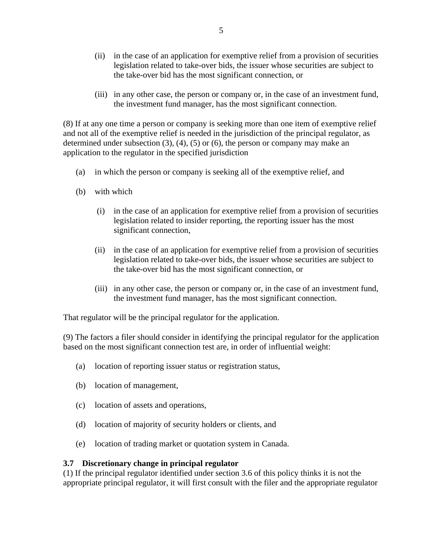- <span id="page-6-0"></span>(ii) in the case of an application for exemptive relief from a provision of securities legislation related to take-over bids, the issuer whose securities are subject to the take-over bid has the most significant connection, or
- (iii) in any other case, the person or company or, in the case of an investment fund, the investment fund manager, has the most significant connection.

(8) If at any one time a person or company is seeking more than one item of exemptive relief and not all of the exemptive relief is needed in the jurisdiction of the principal regulator, as determined under subsection  $(3)$ ,  $(4)$ ,  $(5)$  or  $(6)$ , the person or company may make an application to the regulator in the specified jurisdiction

- (a) in which the person or company is seeking all of the exemptive relief, and
- (b) with which
	- (i) in the case of an application for exemptive relief from a provision of securities legislation related to insider reporting, the reporting issuer has the most significant connection,
	- (ii) in the case of an application for exemptive relief from a provision of securities legislation related to take-over bids, the issuer whose securities are subject to the take-over bid has the most significant connection, or
	- (iii) in any other case, the person or company or, in the case of an investment fund, the investment fund manager, has the most significant connection.

That regulator will be the principal regulator for the application.

(9) The factors a filer should consider in identifying the principal regulator for the application based on the most significant connection test are, in order of influential weight:

- (a) location of reporting issuer status or registration status,
- (b) location of management,
- (c) location of assets and operations,
- (d) location of majority of security holders or clients, and
- (e) location of trading market or quotation system in Canada.

### **3.7 Discretionary change in principal regulator**

(1) If the principal regulator identified under section 3.6 of this policy thinks it is not the appropriate principal regulator, it will first consult with the filer and the appropriate regulator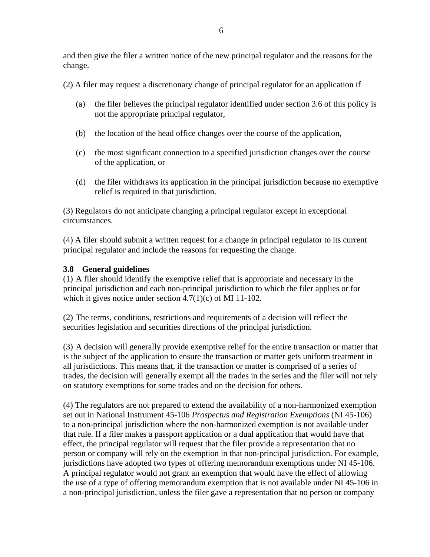<span id="page-7-0"></span>and then give the filer a written notice of the new principal regulator and the reasons for the change.

(2) A filer may request a discretionary change of principal regulator for an application if

- (a) the filer believes the principal regulator identified under section 3.6 of this policy is not the appropriate principal regulator,
- (b) the location of the head office changes over the course of the application,
- (c) the most significant connection to a specified jurisdiction changes over the course of the application, or
- (d) the filer withdraws its application in the principal jurisdiction because no exemptive relief is required in that jurisdiction.

(3) Regulators do not anticipate changing a principal regulator except in exceptional circumstances.

(4) A filer should submit a written request for a change in principal regulator to its current principal regulator and include the reasons for requesting the change.

## **3.8 General guidelines**

(1) A filer should identify the exemptive relief that is appropriate and necessary in the principal jurisdiction and each non-principal jurisdiction to which the filer applies or for which it gives notice under section  $4.7(1)(c)$  of MI 11-102.

(2) The terms, conditions, restrictions and requirements of a decision will reflect the securities legislation and securities directions of the principal jurisdiction.

(3) A decision will generally provide exemptive relief for the entire transaction or matter that is the subject of the application to ensure the transaction or matter gets uniform treatment in all jurisdictions. This means that, if the transaction or matter is comprised of a series of trades, the decision will generally exempt all the trades in the series and the filer will not rely on statutory exemptions for some trades and on the decision for others.

(4) The regulators are not prepared to extend the availability of a non-harmonized exemption set out in National Instrument 45-106 *Prospectus and Registration Exemptions* (NI 45-106) to a non-principal jurisdiction where the non-harmonized exemption is not available under that rule. If a filer makes a passport application or a dual application that would have that effect, the principal regulator will request that the filer provide a representation that no person or company will rely on the exemption in that non-principal jurisdiction. For example, jurisdictions have adopted two types of offering memorandum exemptions under NI 45-106. A principal regulator would not grant an exemption that would have the effect of allowing the use of a type of offering memorandum exemption that is not available under NI 45-106 in a non-principal jurisdiction, unless the filer gave a representation that no person or company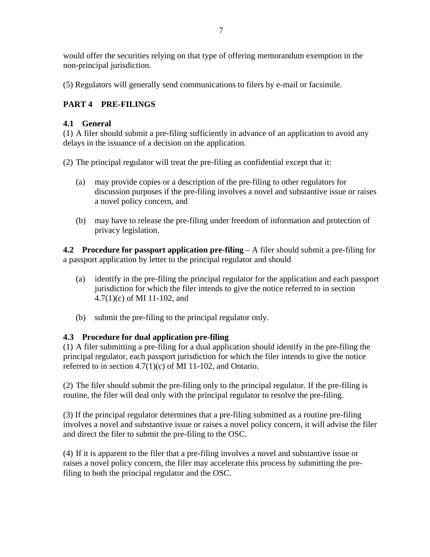<span id="page-8-0"></span>would offer the securities relying on that type of offering memorandum exemption in the non-principal jurisdiction.

(5) Regulators will generally send communications to filers by e-mail or facsimile.

# **PART 4 PRE-FILINGS**

## **4.1 General**

(1) A filer should submit a pre-filing sufficiently in advance of an application to avoid any delays in the issuance of a decision on the application.

(2) The principal regulator will treat the pre-filing as confidential except that it:

- (a) may provide copies or a description of the pre-filing to other regulators for discussion purposes if the pre-filing involves a novel and substantive issue or raises a novel policy concern, and
- (b) may have to release the pre-filing under freedom of information and protection of privacy legislation.

**4.2 Procedure for passport application pre-filing** – A filer should submit a pre-filing for a passport application by letter to the principal regulator and should

- (a) identify in the pre-filing the principal regulator for the application and each passport jurisdiction for which the filer intends to give the notice referred to in section 4.7(1)(c) of MI 11-102, and
- (b) submit the pre-filing to the principal regulator only.

## **4.3 Procedure for dual application pre-filing**

(1) A filer submitting a pre-filing for a dual application should identify in the pre-filing the principal regulator, each passport jurisdiction for which the filer intends to give the notice referred to in section 4.7(1)(c) of MI 11-102, and Ontario.

(2) The filer should submit the pre-filing only to the principal regulator. If the pre-filing is routine, the filer will deal only with the principal regulator to resolve the pre-filing.

(3) If the principal regulator determines that a pre-filing submitted as a routine pre-filing involves a novel and substantive issue or raises a novel policy concern, it will advise the filer and direct the filer to submit the pre-filing to the OSC.

(4) If it is apparent to the filer that a pre-filing involves a novel and substantive issue or raises a novel policy concern, the filer may accelerate this process by submitting the prefiling to both the principal regulator and the OSC.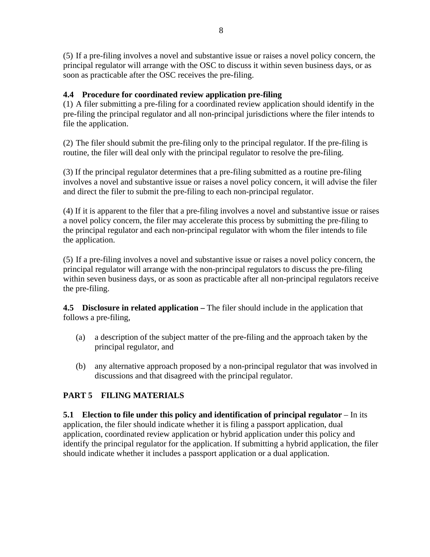<span id="page-9-0"></span>(5) If a pre-filing involves a novel and substantive issue or raises a novel policy concern, the principal regulator will arrange with the OSC to discuss it within seven business days, or as soon as practicable after the OSC receives the pre-filing.

## **4.4 Procedure for coordinated review application pre-filing**

(1) A filer submitting a pre-filing for a coordinated review application should identify in the pre-filing the principal regulator and all non-principal jurisdictions where the filer intends to file the application.

(2) The filer should submit the pre-filing only to the principal regulator. If the pre-filing is routine, the filer will deal only with the principal regulator to resolve the pre-filing.

(3) If the principal regulator determines that a pre-filing submitted as a routine pre-filing involves a novel and substantive issue or raises a novel policy concern, it will advise the filer and direct the filer to submit the pre-filing to each non-principal regulator.

(4) If it is apparent to the filer that a pre-filing involves a novel and substantive issue or raises a novel policy concern, the filer may accelerate this process by submitting the pre-filing to the principal regulator and each non-principal regulator with whom the filer intends to file the application.

(5) If a pre-filing involves a novel and substantive issue or raises a novel policy concern, the principal regulator will arrange with the non-principal regulators to discuss the pre-filing within seven business days, or as soon as practicable after all non-principal regulators receive the pre-filing.

**4.5 Disclosure in related application –** The filer should include in the application that follows a pre-filing,

- (a) a description of the subject matter of the pre-filing and the approach taken by the principal regulator, and
- (b) any alternative approach proposed by a non-principal regulator that was involved in discussions and that disagreed with the principal regulator.

## **PART 5 FILING MATERIALS**

**5.1 Election to file under this policy and identification of principal regulator** – In its application, the filer should indicate whether it is filing a passport application, dual application, coordinated review application or hybrid application under this policy and identify the principal regulator for the application. If submitting a hybrid application, the filer should indicate whether it includes a passport application or a dual application.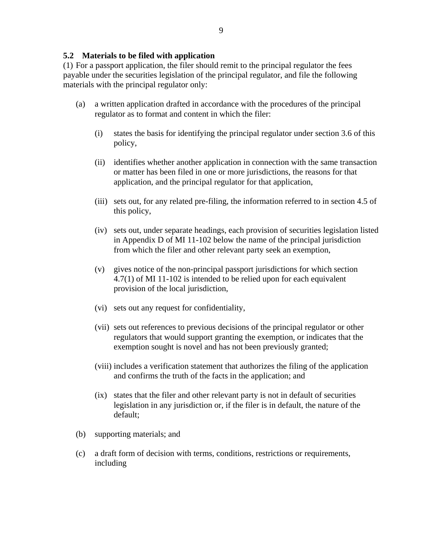### <span id="page-10-0"></span>**5.2 Materials to be filed with application**

(1) For a passport application, the filer should remit to the principal regulator the fees payable under the securities legislation of the principal regulator, and file the following materials with the principal regulator only:

- (a) a written application drafted in accordance with the procedures of the principal regulator as to format and content in which the filer:
	- (i) states the basis for identifying the principal regulator under section 3.6 of this policy,
	- (ii) identifies whether another application in connection with the same transaction or matter has been filed in one or more jurisdictions, the reasons for that application, and the principal regulator for that application,
	- (iii) sets out, for any related pre-filing, the information referred to in section 4.5 of this policy,
	- (iv) sets out, under separate headings, each provision of securities legislation listed in Appendix D of MI 11-102 below the name of the principal jurisdiction from which the filer and other relevant party seek an exemption,
	- (v) gives notice of the non-principal passport jurisdictions for which section 4.7(1) of MI 11-102 is intended to be relied upon for each equivalent provision of the local jurisdiction,
	- (vi) sets out any request for confidentiality,
	- (vii) sets out references to previous decisions of the principal regulator or other regulators that would support granting the exemption, or indicates that the exemption sought is novel and has not been previously granted;
	- (viii) includes a verification statement that authorizes the filing of the application and confirms the truth of the facts in the application; and
	- (ix) states that the filer and other relevant party is not in default of securities legislation in any jurisdiction or, if the filer is in default, the nature of the default;
- (b) supporting materials; and
- (c) a draft form of decision with terms, conditions, restrictions or requirements, including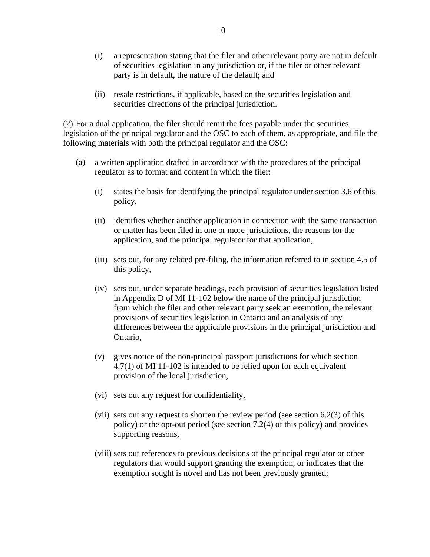- (i) a representation stating that the filer and other relevant party are not in default of securities legislation in any jurisdiction or, if the filer or other relevant party is in default, the nature of the default; and
- (ii) resale restrictions, if applicable, based on the securities legislation and securities directions of the principal jurisdiction.

(2) For a dual application, the filer should remit the fees payable under the securities legislation of the principal regulator and the OSC to each of them, as appropriate, and file the following materials with both the principal regulator and the OSC:

- (a) a written application drafted in accordance with the procedures of the principal regulator as to format and content in which the filer:
	- (i) states the basis for identifying the principal regulator under section 3.6 of this policy,
	- (ii) identifies whether another application in connection with the same transaction or matter has been filed in one or more jurisdictions, the reasons for the application, and the principal regulator for that application,
	- (iii) sets out, for any related pre-filing, the information referred to in section 4.5 of this policy,
	- (iv) sets out, under separate headings, each provision of securities legislation listed in Appendix D of MI 11-102 below the name of the principal jurisdiction from which the filer and other relevant party seek an exemption, the relevant provisions of securities legislation in Ontario and an analysis of any differences between the applicable provisions in the principal jurisdiction and Ontario,
	- (v) gives notice of the non-principal passport jurisdictions for which section 4.7(1) of MI 11-102 is intended to be relied upon for each equivalent provision of the local jurisdiction,
	- (vi) sets out any request for confidentiality,
	- (vii) sets out any request to shorten the review period (see section 6.2(3) of this policy) or the opt-out period (see section 7.2(4) of this policy) and provides supporting reasons,
	- (viii) sets out references to previous decisions of the principal regulator or other regulators that would support granting the exemption, or indicates that the exemption sought is novel and has not been previously granted;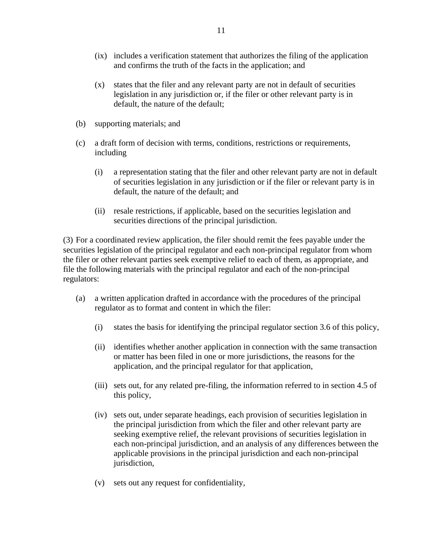- (ix) includes a verification statement that authorizes the filing of the application and confirms the truth of the facts in the application; and
- (x) states that the filer and any relevant party are not in default of securities legislation in any jurisdiction or, if the filer or other relevant party is in default, the nature of the default;
- (b) supporting materials; and
- (c) a draft form of decision with terms, conditions, restrictions or requirements, including
	- (i) a representation stating that the filer and other relevant party are not in default of securities legislation in any jurisdiction or if the filer or relevant party is in default, the nature of the default; and
	- (ii) resale restrictions, if applicable, based on the securities legislation and securities directions of the principal jurisdiction.

(3) For a coordinated review application, the filer should remit the fees payable under the securities legislation of the principal regulator and each non-principal regulator from whom the filer or other relevant parties seek exemptive relief to each of them, as appropriate, and file the following materials with the principal regulator and each of the non-principal regulators:

- (a) a written application drafted in accordance with the procedures of the principal regulator as to format and content in which the filer:
	- (i) states the basis for identifying the principal regulator section 3.6 of this policy,
	- (ii) identifies whether another application in connection with the same transaction or matter has been filed in one or more jurisdictions, the reasons for the application, and the principal regulator for that application,
	- (iii) sets out, for any related pre-filing, the information referred to in section 4.5 of this policy,
	- (iv) sets out, under separate headings, each provision of securities legislation in the principal jurisdiction from which the filer and other relevant party are seeking exemptive relief, the relevant provisions of securities legislation in each non-principal jurisdiction, and an analysis of any differences between the applicable provisions in the principal jurisdiction and each non-principal jurisdiction,
	- (v) sets out any request for confidentiality,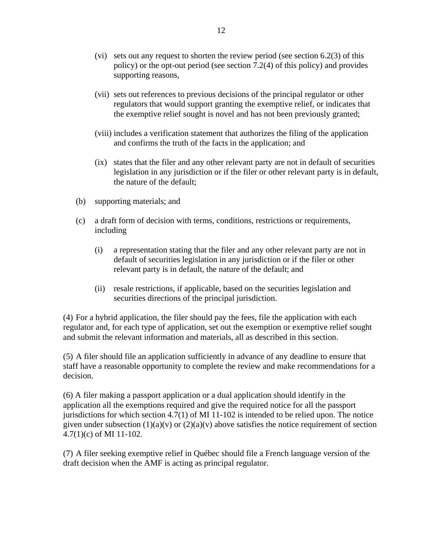- (vi) sets out any request to shorten the review period (see section 6.2(3) of this policy) or the opt-out period (see section 7.2(4) of this policy) and provides supporting reasons,
- (vii) sets out references to previous decisions of the principal regulator or other regulators that would support granting the exemptive relief, or indicates that the exemptive relief sought is novel and has not been previously granted;
- (viii) includes a verification statement that authorizes the filing of the application and confirms the truth of the facts in the application; and
- (ix) states that the filer and any other relevant party are not in default of securities legislation in any jurisdiction or if the filer or other relevant party is in default, the nature of the default;
- (b) supporting materials; and
- (c) a draft form of decision with terms, conditions, restrictions or requirements, including
	- (i) a representation stating that the filer and any other relevant party are not in default of securities legislation in any jurisdiction or if the filer or other relevant party is in default, the nature of the default; and
	- (ii) resale restrictions, if applicable, based on the securities legislation and securities directions of the principal jurisdiction.

(4) For a hybrid application, the filer should pay the fees, file the application with each regulator and, for each type of application, set out the exemption or exemptive relief sought and submit the relevant information and materials, all as described in this section.

(5) A filer should file an application sufficiently in advance of any deadline to ensure that staff have a reasonable opportunity to complete the review and make recommendations for a decision.

(6) A filer making a passport application or a dual application should identify in the application all the exemptions required and give the required notice for all the passport jurisdictions for which section 4.7(1) of MI 11-102 is intended to be relied upon. The notice given under subsection  $(1)(a)(v)$  or  $(2)(a)(v)$  above satisfies the notice requirement of section 4.7(1)(c) of MI 11-102.

(7) A filer seeking exemptive relief in Québec should file a French language version of the draft decision when the AMF is acting as principal regulator.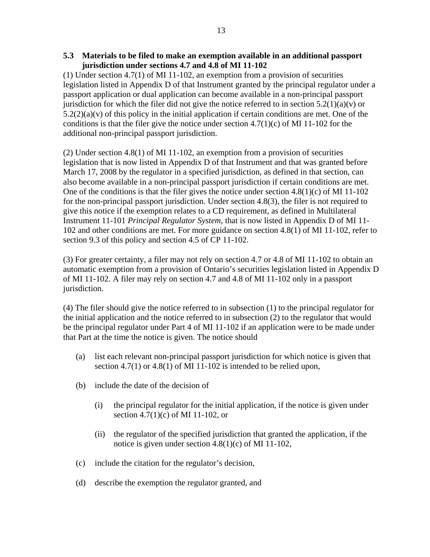<span id="page-14-0"></span>(1) Under section 4.7(1) of MI 11-102, an exemption from a provision of securities legislation listed in Appendix D of that Instrument granted by the principal regulator under a passport application or dual application can become available in a non-principal passport jurisdiction for which the filer did not give the notice referred to in section  $5.2(1)(a)(v)$  or  $5.2(2)(a)(v)$  of this policy in the initial application if certain conditions are met. One of the conditions is that the filer give the notice under section  $4.7(1)(c)$  of MI 11-102 for the additional non-principal passport jurisdiction.

(2) Under section 4.8(1) of MI 11-102, an exemption from a provision of securities legislation that is now listed in Appendix D of that Instrument and that was granted before March 17, 2008 by the regulator in a specified jurisdiction, as defined in that section, can also become available in a non-principal passport jurisdiction if certain conditions are met. One of the conditions is that the filer gives the notice under section  $4.8(1)(c)$  of MI 11-102 for the non-principal passport jurisdiction. Under section 4.8(3), the filer is not required to give this notice if the exemption relates to a CD requirement, as defined in Multilateral Instrument 11-101 *Principal Regulator System*, that is now listed in Appendix D of MI 11- 102 and other conditions are met. For more guidance on section 4.8(1) of MI 11-102, refer to section 9.3 of this policy and section 4.5 of CP 11-102.

(3) For greater certainty, a filer may not rely on section 4.7 or 4.8 of MI 11-102 to obtain an automatic exemption from a provision of Ontario's securities legislation listed in Appendix D of MI 11-102. A filer may rely on section 4.7 and 4.8 of MI 11-102 only in a passport jurisdiction.

(4) The filer should give the notice referred to in subsection (1) to the principal regulator for the initial application and the notice referred to in subsection (2) to the regulator that would be the principal regulator under Part 4 of MI 11-102 if an application were to be made under that Part at the time the notice is given. The notice should

- (a) list each relevant non-principal passport jurisdiction for which notice is given that section 4.7(1) or 4.8(1) of MI 11-102 is intended to be relied upon,
- (b) include the date of the decision of
	- (i) the principal regulator for the initial application, if the notice is given under section 4.7(1)(c) of MI 11-102, or
	- (ii) the regulator of the specified jurisdiction that granted the application, if the notice is given under section 4.8(1)(c) of MI 11-102,
- (c) include the citation for the regulator's decision,
- (d) describe the exemption the regulator granted, and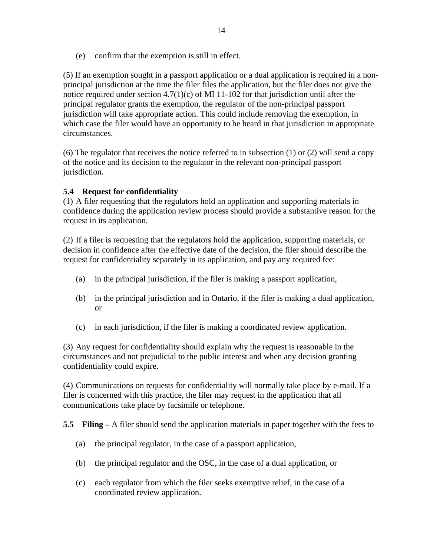<span id="page-15-0"></span>(e) confirm that the exemption is still in effect.

(5) If an exemption sought in a passport application or a dual application is required in a nonprincipal jurisdiction at the time the filer files the application, but the filer does not give the notice required under section 4.7(1)(c) of MI 11-102 for that jurisdiction until after the principal regulator grants the exemption, the regulator of the non-principal passport jurisdiction will take appropriate action. This could include removing the exemption, in which case the filer would have an opportunity to be heard in that jurisdiction in appropriate circumstances.

(6) The regulator that receives the notice referred to in subsection (1) or (2) will send a copy of the notice and its decision to the regulator in the relevant non-principal passport jurisdiction.

## **5.4 Request for confidentiality**

(1) A filer requesting that the regulators hold an application and supporting materials in confidence during the application review process should provide a substantive reason for the request in its application.

(2) If a filer is requesting that the regulators hold the application, supporting materials, or decision in confidence after the effective date of the decision, the filer should describe the request for confidentiality separately in its application, and pay any required fee:

- (a) in the principal jurisdiction, if the filer is making a passport application,
- (b) in the principal jurisdiction and in Ontario, if the filer is making a dual application, or
- (c) in each jurisdiction, if the filer is making a coordinated review application.

(3) Any request for confidentiality should explain why the request is reasonable in the circumstances and not prejudicial to the public interest and when any decision granting confidentiality could expire.

(4) Communications on requests for confidentiality will normally take place by e-mail. If a filer is concerned with this practice, the filer may request in the application that all communications take place by facsimile or telephone.

**5.5 Filing –** A filer should send the application materials in paper together with the fees to

- (a) the principal regulator, in the case of a passport application,
- (b) the principal regulator and the OSC, in the case of a dual application, or
- (c) each regulator from which the filer seeks exemptive relief, in the case of a coordinated review application.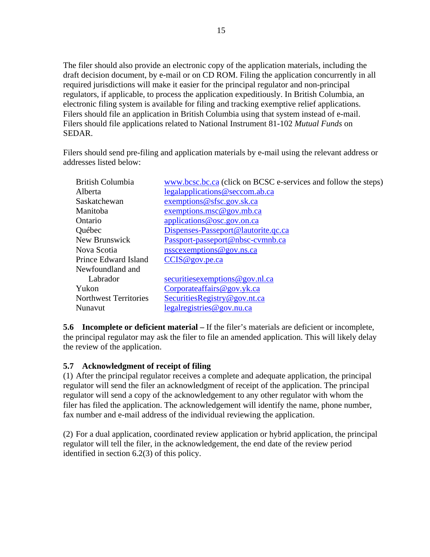<span id="page-16-0"></span>The filer should also provide an electronic copy of the application materials, including the draft decision document, by e-mail or on CD ROM. Filing the application concurrently in all required jurisdictions will make it easier for the principal regulator and non-principal regulators, if applicable, to process the application expeditiously. In British Columbia, an electronic filing system is available for filing and tracking exemptive relief applications. Filers should file an application in British Columbia using that system instead of e-mail. Filers should file applications related to National Instrument 81-102 *Mutual Funds* on SEDAR.

Filers should send pre-filing and application materials by e-mail using the relevant address or addresses listed below:

| <b>British Columbia</b>      | www.bcsc.bc.ca (click on BCSC e-services and follow the steps) |
|------------------------------|----------------------------------------------------------------|
| <b>Alberta</b>               | legalapplications@seccom.ab.ca                                 |
| Saskatchewan                 | exemptions@sfsc.gov.sk.ca                                      |
| Manitoba                     | exemptions.msc@gov.mb.ca                                       |
| Ontario                      | applications@osc.gov.on.ca                                     |
| Québec                       | Dispenses-Passeport@lautorite.qc.ca                            |
| New Brunswick                | Passport-passeport@nbsc-cvmnb.ca                               |
| Nova Scotia                  | nsscexemptions@gov.ns.ca                                       |
| Prince Edward Island         | $CCIS@gov.$ pe.ca                                              |
| Newfoundland and             |                                                                |
| Labrador                     | securities exemptions $@$ gov.nl.ca                            |
| Yukon                        | Corporate affairs @gov.yk.ca                                   |
| <b>Northwest Territories</b> | SecuritiesRegistry@gov.nt.ca                                   |
| Nunavut                      | legal registries@gov.nu.ca                                     |

**5.6 Incomplete or deficient material –** If the filer's materials are deficient or incomplete, the principal regulator may ask the filer to file an amended application. This will likely delay the review of the application.

### **5.7 Acknowledgment of receipt of filing**

(1) After the principal regulator receives a complete and adequate application, the principal regulator will send the filer an acknowledgment of receipt of the application. The principal regulator will send a copy of the acknowledgement to any other regulator with whom the filer has filed the application. The acknowledgement will identify the name, phone number, fax number and e-mail address of the individual reviewing the application.

(2) For a dual application, coordinated review application or hybrid application, the principal regulator will tell the filer, in the acknowledgement, the end date of the review period identified in section 6.2(3) of this policy.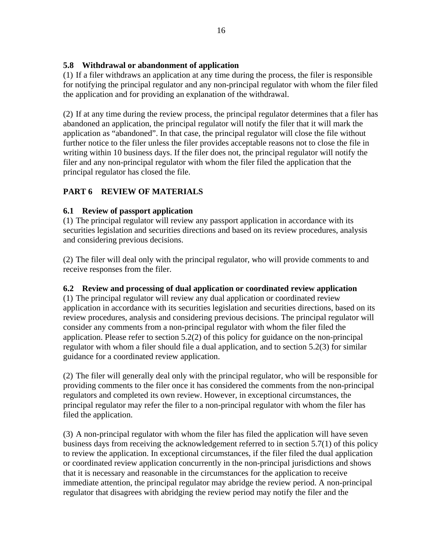## <span id="page-17-0"></span>**5.8 Withdrawal or abandonment of application**

(1) If a filer withdraws an application at any time during the process, the filer is responsible for notifying the principal regulator and any non-principal regulator with whom the filer filed the application and for providing an explanation of the withdrawal.

(2) If at any time during the review process, the principal regulator determines that a filer has abandoned an application, the principal regulator will notify the filer that it will mark the application as "abandoned". In that case, the principal regulator will close the file without further notice to the filer unless the filer provides acceptable reasons not to close the file in writing within 10 business days. If the filer does not, the principal regulator will notify the filer and any non-principal regulator with whom the filer filed the application that the principal regulator has closed the file.

# **PART 6 REVIEW OF MATERIALS**

## **6.1 Review of passport application**

(1) The principal regulator will review any passport application in accordance with its securities legislation and securities directions and based on its review procedures, analysis and considering previous decisions.

(2) The filer will deal only with the principal regulator, who will provide comments to and receive responses from the filer.

## **6.2 Review and processing of dual application or coordinated review application**

(1) The principal regulator will review any dual application or coordinated review application in accordance with its securities legislation and securities directions, based on its review procedures, analysis and considering previous decisions. The principal regulator will consider any comments from a non-principal regulator with whom the filer filed the application. Please refer to section 5.2(2) of this policy for guidance on the non-principal regulator with whom a filer should file a dual application, and to section 5.2(3) for similar guidance for a coordinated review application.

(2) The filer will generally deal only with the principal regulator, who will be responsible for providing comments to the filer once it has considered the comments from the non-principal regulators and completed its own review. However, in exceptional circumstances, the principal regulator may refer the filer to a non-principal regulator with whom the filer has filed the application.

(3) A non-principal regulator with whom the filer has filed the application will have seven business days from receiving the acknowledgement referred to in section 5.7(1) of this policy to review the application. In exceptional circumstances, if the filer filed the dual application or coordinated review application concurrently in the non-principal jurisdictions and shows that it is necessary and reasonable in the circumstances for the application to receive immediate attention, the principal regulator may abridge the review period. A non-principal regulator that disagrees with abridging the review period may notify the filer and the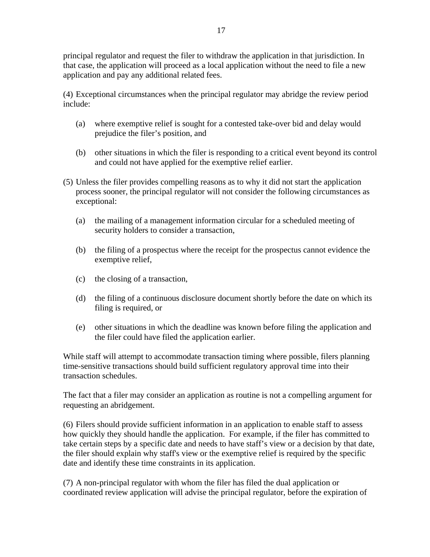principal regulator and request the filer to withdraw the application in that jurisdiction. In

that case, the application will proceed as a local application without the need to file a new application and pay any additional related fees.

(4) Exceptional circumstances when the principal regulator may abridge the review period include:

- (a) where exemptive relief is sought for a contested take-over bid and delay would prejudice the filer's position, and
- (b) other situations in which the filer is responding to a critical event beyond its control and could not have applied for the exemptive relief earlier.
- (5) Unless the filer provides compelling reasons as to why it did not start the application process sooner, the principal regulator will not consider the following circumstances as exceptional:
	- (a) the mailing of a management information circular for a scheduled meeting of security holders to consider a transaction,
	- (b) the filing of a prospectus where the receipt for the prospectus cannot evidence the exemptive relief,
	- (c) the closing of a transaction,
	- (d) the filing of a continuous disclosure document shortly before the date on which its filing is required, or
	- (e) other situations in which the deadline was known before filing the application and the filer could have filed the application earlier.

While staff will attempt to accommodate transaction timing where possible, filers planning time-sensitive transactions should build sufficient regulatory approval time into their transaction schedules.

The fact that a filer may consider an application as routine is not a compelling argument for requesting an abridgement.

(6) Filers should provide sufficient information in an application to enable staff to assess how quickly they should handle the application. For example, if the filer has committed to take certain steps by a specific date and needs to have staff's view or a decision by that date, the filer should explain why staff's view or the exemptive relief is required by the specific date and identify these time constraints in its application.

(7) A non-principal regulator with whom the filer has filed the dual application or coordinated review application will advise the principal regulator, before the expiration of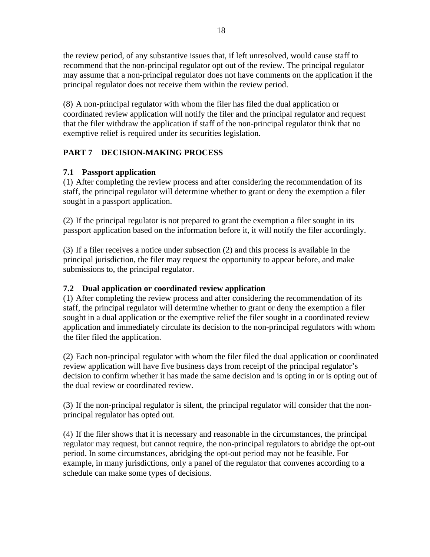<span id="page-19-0"></span>the review period, of any substantive issues that, if left unresolved, would cause staff to recommend that the non-principal regulator opt out of the review. The principal regulator may assume that a non-principal regulator does not have comments on the application if the principal regulator does not receive them within the review period.

(8) A non-principal regulator with whom the filer has filed the dual application or coordinated review application will notify the filer and the principal regulator and request that the filer withdraw the application if staff of the non-principal regulator think that no exemptive relief is required under its securities legislation.

# **PART 7 DECISION-MAKING PROCESS**

## **7.1 Passport application**

(1) After completing the review process and after considering the recommendation of its staff, the principal regulator will determine whether to grant or deny the exemption a filer sought in a passport application.

(2) If the principal regulator is not prepared to grant the exemption a filer sought in its passport application based on the information before it, it will notify the filer accordingly.

(3) If a filer receives a notice under subsection (2) and this process is available in the principal jurisdiction, the filer may request the opportunity to appear before, and make submissions to, the principal regulator.

## **7.2 Dual application or coordinated review application**

(1) After completing the review process and after considering the recommendation of its staff, the principal regulator will determine whether to grant or deny the exemption a filer sought in a dual application or the exemptive relief the filer sought in a coordinated review application and immediately circulate its decision to the non-principal regulators with whom the filer filed the application.

(2) Each non-principal regulator with whom the filer filed the dual application or coordinated review application will have five business days from receipt of the principal regulator's decision to confirm whether it has made the same decision and is opting in or is opting out of the dual review or coordinated review.

(3) If the non-principal regulator is silent, the principal regulator will consider that the nonprincipal regulator has opted out.

(4) If the filer shows that it is necessary and reasonable in the circumstances, the principal regulator may request, but cannot require, the non-principal regulators to abridge the opt-out period. In some circumstances, abridging the opt-out period may not be feasible. For example, in many jurisdictions, only a panel of the regulator that convenes according to a schedule can make some types of decisions.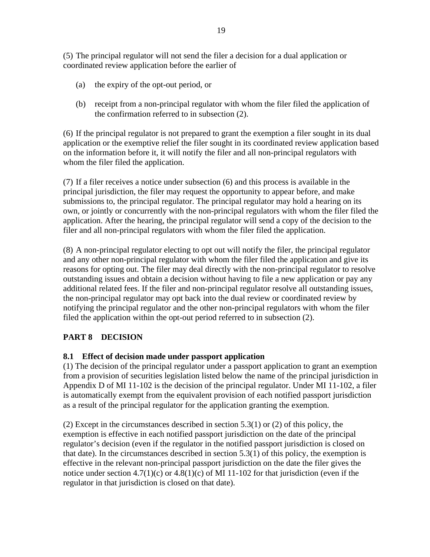<span id="page-20-0"></span>(5) The principal regulator will not send the filer a decision for a dual application or coordinated review application before the earlier of

- (a) the expiry of the opt-out period, or
- (b) receipt from a non-principal regulator with whom the filer filed the application of the confirmation referred to in subsection (2).

(6) If the principal regulator is not prepared to grant the exemption a filer sought in its dual application or the exemptive relief the filer sought in its coordinated review application based on the information before it, it will notify the filer and all non-principal regulators with whom the filer filed the application.

(7) If a filer receives a notice under subsection (6) and this process is available in the principal jurisdiction, the filer may request the opportunity to appear before, and make submissions to, the principal regulator. The principal regulator may hold a hearing on its own, or jointly or concurrently with the non-principal regulators with whom the filer filed the application. After the hearing, the principal regulator will send a copy of the decision to the filer and all non-principal regulators with whom the filer filed the application.

(8) A non-principal regulator electing to opt out will notify the filer, the principal regulator and any other non-principal regulator with whom the filer filed the application and give its reasons for opting out. The filer may deal directly with the non-principal regulator to resolve outstanding issues and obtain a decision without having to file a new application or pay any additional related fees. If the filer and non-principal regulator resolve all outstanding issues, the non-principal regulator may opt back into the dual review or coordinated review by notifying the principal regulator and the other non-principal regulators with whom the filer filed the application within the opt-out period referred to in subsection (2).

## **PART 8 DECISION**

## **8.1 Effect of decision made under passport application**

(1) The decision of the principal regulator under a passport application to grant an exemption from a provision of securities legislation listed below the name of the principal jurisdiction in Appendix D of MI 11-102 is the decision of the principal regulator. Under MI 11-102, a filer is automatically exempt from the equivalent provision of each notified passport jurisdiction as a result of the principal regulator for the application granting the exemption.

(2) Except in the circumstances described in section 5.3(1) or (2) of this policy, the exemption is effective in each notified passport jurisdiction on the date of the principal regulator's decision (even if the regulator in the notified passport jurisdiction is closed on that date). In the circumstances described in section 5.3(1) of this policy, the exemption is effective in the relevant non-principal passport jurisdiction on the date the filer gives the notice under section  $4.7(1)(c)$  or  $4.8(1)(c)$  of MI 11-102 for that jurisdiction (even if the regulator in that jurisdiction is closed on that date).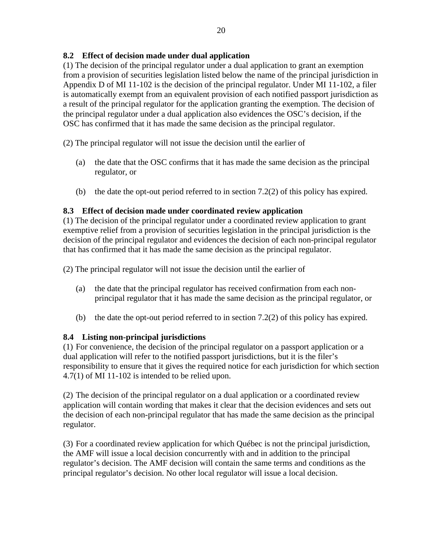## <span id="page-21-0"></span>**8.2 Effect of decision made under dual application**

(1) The decision of the principal regulator under a dual application to grant an exemption from a provision of securities legislation listed below the name of the principal jurisdiction in Appendix D of MI 11-102 is the decision of the principal regulator. Under MI 11-102, a filer is automatically exempt from an equivalent provision of each notified passport jurisdiction as a result of the principal regulator for the application granting the exemption. The decision of the principal regulator under a dual application also evidences the OSC's decision, if the OSC has confirmed that it has made the same decision as the principal regulator.

(2) The principal regulator will not issue the decision until the earlier of

- (a) the date that the OSC confirms that it has made the same decision as the principal regulator, or
- (b) the date the opt-out period referred to in section  $7.2(2)$  of this policy has expired.

## **8.3 Effect of decision made under coordinated review application**

(1) The decision of the principal regulator under a coordinated review application to grant exemptive relief from a provision of securities legislation in the principal jurisdiction is the decision of the principal regulator and evidences the decision of each non-principal regulator that has confirmed that it has made the same decision as the principal regulator.

(2) The principal regulator will not issue the decision until the earlier of

- (a) the date that the principal regulator has received confirmation from each nonprincipal regulator that it has made the same decision as the principal regulator, or
- (b) the date the opt-out period referred to in section  $7.2(2)$  of this policy has expired.

## **8.4 Listing non-principal jurisdictions**

(1) For convenience, the decision of the principal regulator on a passport application or a dual application will refer to the notified passport jurisdictions, but it is the filer's responsibility to ensure that it gives the required notice for each jurisdiction for which section 4.7(1) of MI 11-102 is intended to be relied upon.

(2) The decision of the principal regulator on a dual application or a coordinated review application will contain wording that makes it clear that the decision evidences and sets out the decision of each non-principal regulator that has made the same decision as the principal regulator.

(3) For a coordinated review application for which Québec is not the principal jurisdiction, the AMF will issue a local decision concurrently with and in addition to the principal regulator's decision. The AMF decision will contain the same terms and conditions as the principal regulator's decision. No other local regulator will issue a local decision.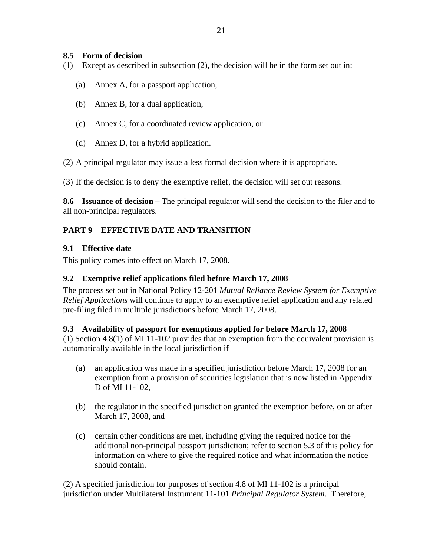### <span id="page-22-0"></span>**8.5 Form of decision**

- (1) Except as described in subsection (2), the decision will be in the form set out in:
	- (a) Annex A, for a passport application,
	- (b) Annex B, for a dual application,
	- (c) Annex C, for a coordinated review application, or
	- (d) Annex D, for a hybrid application.

(2) A principal regulator may issue a less formal decision where it is appropriate.

(3) If the decision is to deny the exemptive relief, the decision will set out reasons.

**8.6 Issuance of decision –** The principal regulator will send the decision to the filer and to all non-principal regulators.

## **PART 9 EFFECTIVE DATE AND TRANSITION**

## **9.1 Effective date**

This policy comes into effect on March 17, 2008.

## **9.2 Exemptive relief applications filed before March 17, 2008**

The process set out in National Policy 12-201 *Mutual Reliance Review System for Exemptive Relief Applications* will continue to apply to an exemptive relief application and any related pre-filing filed in multiple jurisdictions before March 17, 2008.

## **9.3 Availability of passport for exemptions applied for before March 17, 2008**

(1) Section 4.8(1) of MI 11-102 provides that an exemption from the equivalent provision is automatically available in the local jurisdiction if

- (a) an application was made in a specified jurisdiction before March 17, 2008 for an exemption from a provision of securities legislation that is now listed in Appendix D of MI 11-102,
- (b) the regulator in the specified jurisdiction granted the exemption before, on or after March 17, 2008, and
- (c) certain other conditions are met, including giving the required notice for the additional non-principal passport jurisdiction; refer to section 5.3 of this policy for information on where to give the required notice and what information the notice should contain.

(2) A specified jurisdiction for purposes of section 4.8 of MI 11-102 is a principal jurisdiction under Multilateral Instrument 11-101 *Principal Regulator System*. Therefore,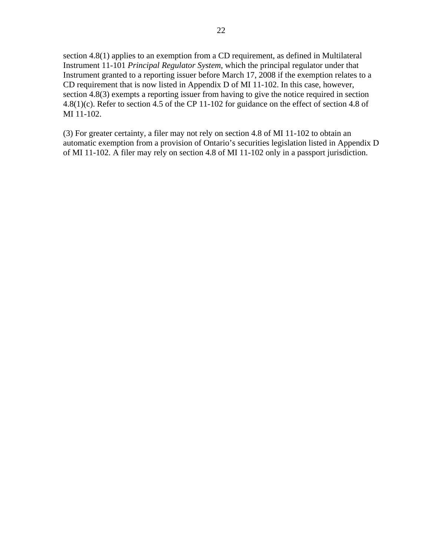section 4.8(1) applies to an exemption from a CD requirement, as defined in Multilateral Instrument 11-101 *Principal Regulator System*, which the principal regulator under that Instrument granted to a reporting issuer before March 17, 2008 if the exemption relates to a CD requirement that is now listed in Appendix D of MI 11-102. In this case, however, section 4.8(3) exempts a reporting issuer from having to give the notice required in section 4.8(1)(c). Refer to section 4.5 of the CP 11-102 for guidance on the effect of section 4.8 of MI 11-102.

(3) For greater certainty, a filer may not rely on section 4.8 of MI 11-102 to obtain an automatic exemption from a provision of Ontario's securities legislation listed in Appendix D of MI 11-102. A filer may rely on section 4.8 of MI 11-102 only in a passport jurisdiction.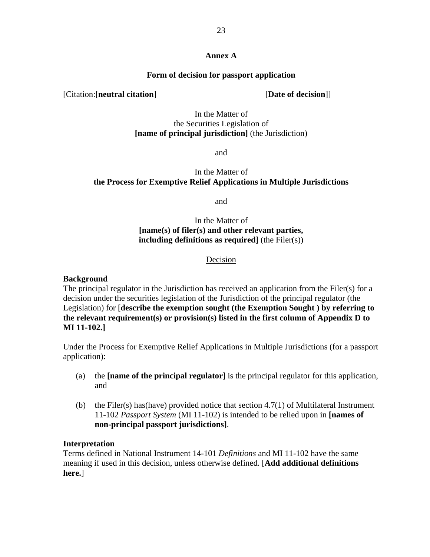### **Annex A**

### **Form of decision for passport application**

### <span id="page-24-0"></span>[Citation:[**neutral citation**] [**Date of decision**]]

In the Matter of the Securities Legislation of **[name of principal jurisdiction]** (the Jurisdiction)

and

## In the Matter of **the Process for Exemptive Relief Applications in Multiple Jurisdictions**

and

## In the Matter of **[name(s) of filer(s) and other relevant parties, including definitions as required]** (the Filer(s))

### Decision

### **Background**

The principal regulator in the Jurisdiction has received an application from the Filer(s) for a decision under the securities legislation of the Jurisdiction of the principal regulator (the Legislation) for [**describe the exemption sought (the Exemption Sought ) by referring to the relevant requirement(s) or provision(s) listed in the first column of Appendix D to MI 11-102.]**

Under the Process for Exemptive Relief Applications in Multiple Jurisdictions (for a passport application):

- (a) the **[name of the principal regulator]** is the principal regulator for this application, and
- (b) the Filer(s) has (have) provided notice that section  $4.7(1)$  of Multilateral Instrument 11-102 *Passport System* (MI 11-102) is intended to be relied upon in **[names of non-principal passport jurisdictions]**.

### **Interpretation**

Terms defined in National Instrument 14-101 *Definitions* and MI 11-102 have the same meaning if used in this decision, unless otherwise defined. [**Add additional definitions here.**]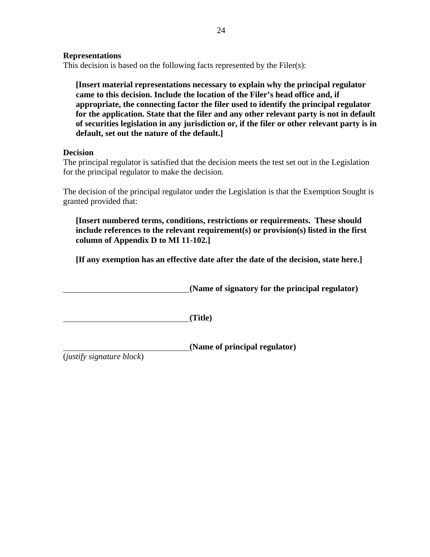### **Representations**

This decision is based on the following facts represented by the Filer(s):

**[Insert material representations necessary to explain why the principal regulator came to this decision. Include the location of the Filer's head office and, if appropriate, the connecting factor the filer used to identify the principal regulator for the application. State that the filer and any other relevant party is not in default of securities legislation in any jurisdiction or, if the filer or other relevant party is in default, set out the nature of the default.]** 

### **Decision**

The principal regulator is satisfied that the decision meets the test set out in the Legislation for the principal regulator to make the decision.

The decision of the principal regulator under the Legislation is that the Exemption Sought is granted provided that:

**[Insert numbered terms, conditions, restrictions or requirements. These should include references to the relevant requirement(s) or provision(s) listed in the first column of Appendix D to MI 11-102.]** 

**[If any exemption has an effective date after the date of the decision, state here.]** 

**(Name of signatory for the principal regulator)** 

**(Title)**

**(Name of principal regulator)**

(*justify signature block*)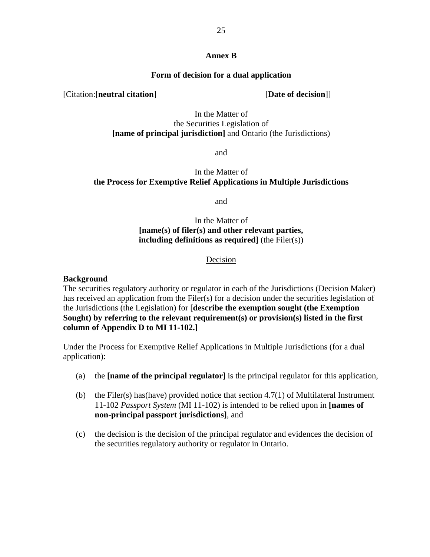### **Annex B**

### **Form of decision for a dual application**

### <span id="page-26-0"></span>[Citation:[**neutral citation**] [**Date of decision**]]

In the Matter of the Securities Legislation of **[name of principal jurisdiction]** and Ontario (the Jurisdictions)

and

### In the Matter of **the Process for Exemptive Relief Applications in Multiple Jurisdictions**

and

## In the Matter of **[name(s) of filer(s) and other relevant parties, including definitions as required]** (the Filer(s))

### Decision

### **Background**

The securities regulatory authority or regulator in each of the Jurisdictions (Decision Maker) has received an application from the Filer(s) for a decision under the securities legislation of the Jurisdictions (the Legislation) for [**describe the exemption sought (the Exemption Sought) by referring to the relevant requirement(s) or provision(s) listed in the first column of Appendix D to MI 11-102.]**

Under the Process for Exemptive Relief Applications in Multiple Jurisdictions (for a dual application):

- (a) the **[name of the principal regulator]** is the principal regulator for this application,
- (b) the Filer(s) has (have) provided notice that section  $4.7(1)$  of Multilateral Instrument 11-102 *Passport System* (MI 11-102) is intended to be relied upon in **[names of non-principal passport jurisdictions]**, and
- (c) the decision is the decision of the principal regulator and evidences the decision of the securities regulatory authority or regulator in Ontario.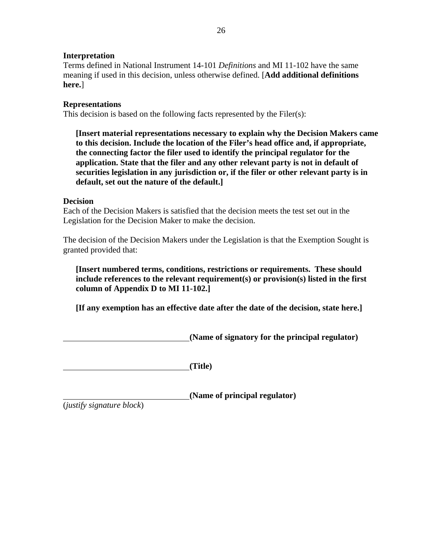### **Interpretation**

Terms defined in National Instrument 14-101 *Definitions* and MI 11-102 have the same meaning if used in this decision, unless otherwise defined. [**Add additional definitions here.**]

### **Representations**

This decision is based on the following facts represented by the Filer(s):

**[Insert material representations necessary to explain why the Decision Makers came to this decision. Include the location of the Filer's head office and, if appropriate, the connecting factor the filer used to identify the principal regulator for the application. State that the filer and any other relevant party is not in default of securities legislation in any jurisdiction or, if the filer or other relevant party is in default, set out the nature of the default.]** 

### **Decision**

Each of the Decision Makers is satisfied that the decision meets the test set out in the Legislation for the Decision Maker to make the decision.

The decision of the Decision Makers under the Legislation is that the Exemption Sought is granted provided that:

**[Insert numbered terms, conditions, restrictions or requirements. These should include references to the relevant requirement(s) or provision(s) listed in the first column of Appendix D to MI 11-102.]** 

**[If any exemption has an effective date after the date of the decision, state here.]** 

**(Name of signatory for the principal regulator)** 

**(Title)**

**(Name of principal regulator)**

(*justify signature block*)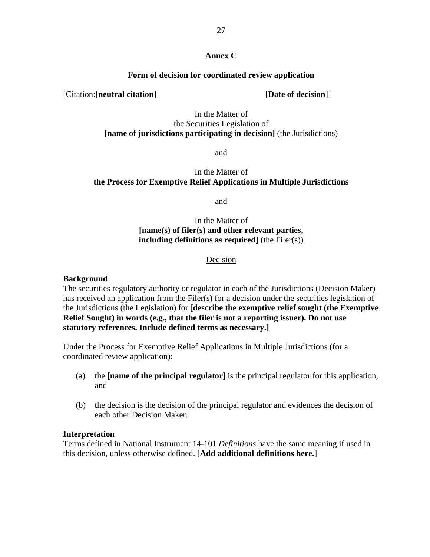### **Annex C**

### **Form of decision for coordinated review application**

### <span id="page-28-0"></span>[Citation:[**neutral citation**] [**Date of decision**]]

In the Matter of the Securities Legislation of **[name of jurisdictions participating in decision]** (the Jurisdictions)

and

### In the Matter of **the Process for Exemptive Relief Applications in Multiple Jurisdictions**

and

## In the Matter of **[name(s) of filer(s) and other relevant parties, including definitions as required]** (the Filer(s))

### Decision

### **Background**

The securities regulatory authority or regulator in each of the Jurisdictions (Decision Maker) has received an application from the Filer(s) for a decision under the securities legislation of the Jurisdictions (the Legislation) for [**describe the exemptive relief sought (the Exemptive Relief Sought) in words (e.g., that the filer is not a reporting issuer). Do not use statutory references. Include defined terms as necessary.]** 

Under the Process for Exemptive Relief Applications in Multiple Jurisdictions (for a coordinated review application):

- (a) the **[name of the principal regulator]** is the principal regulator for this application, and
- (b) the decision is the decision of the principal regulator and evidences the decision of each other Decision Maker.

### **Interpretation**

Terms defined in National Instrument 14-101 *Definitions* have the same meaning if used in this decision, unless otherwise defined. [**Add additional definitions here.**]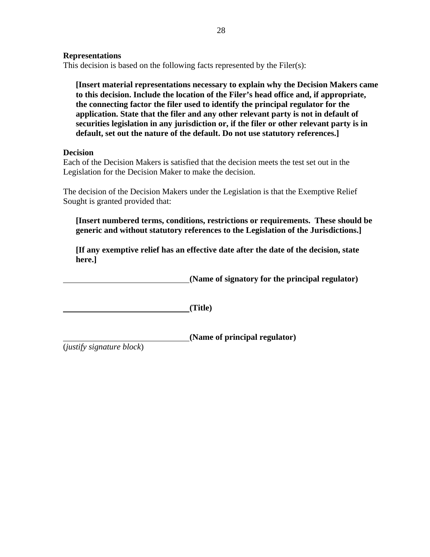### **Representations**

This decision is based on the following facts represented by the Filer(s):

**[Insert material representations necessary to explain why the Decision Makers came to this decision. Include the location of the Filer's head office and, if appropriate, the connecting factor the filer used to identify the principal regulator for the application. State that the filer and any other relevant party is not in default of securities legislation in any jurisdiction or, if the filer or other relevant party is in default, set out the nature of the default. Do not use statutory references.]** 

### **Decision**

Each of the Decision Makers is satisfied that the decision meets the test set out in the Legislation for the Decision Maker to make the decision.

The decision of the Decision Makers under the Legislation is that the Exemptive Relief Sought is granted provided that:

**[Insert numbered terms, conditions, restrictions or requirements. These should be generic and without statutory references to the Legislation of the Jurisdictions.]** 

**[If any exemptive relief has an effective date after the date of the decision, state here.]** 

**(Name of signatory for the principal regulator)** 

**(Title)**

**(Name of principal regulator)**

(*justify signature block*)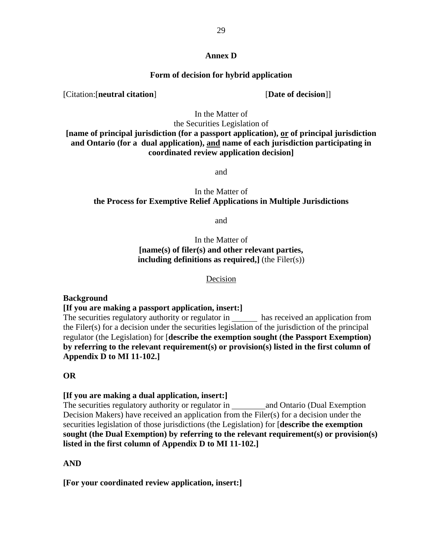### **Annex D**

### **Form of decision for hybrid application**

<span id="page-30-0"></span>[Citation:[**neutral citation**] [**Date of decision**]]

In the Matter of

the Securities Legislation of

**[name of principal jurisdiction (for a passport application), or of principal jurisdiction and Ontario (for a dual application), and name of each jurisdiction participating in coordinated review application decision]** 

and

In the Matter of **the Process for Exemptive Relief Applications in Multiple Jurisdictions** 

and

In the Matter of **[name(s) of filer(s) and other relevant parties, including definitions as required,]** (the Filer(s))

Decision

**Background** 

### **[If you are making a passport application, insert:]**

The securities regulatory authority or regulator in \_\_\_\_\_\_\_ has received an application from the Filer(s) for a decision under the securities legislation of the jurisdiction of the principal regulator (the Legislation) for [**describe the exemption sought (the Passport Exemption) by referring to the relevant requirement(s) or provision(s) listed in the first column of Appendix D to MI 11-102.]**

### **OR**

### **[If you are making a dual application, insert:]**

The securities regulatory authority or regulator in \_\_\_\_\_\_\_\_\_ and Ontario (Dual Exemption Decision Makers) have received an application from the Filer(s) for a decision under the securities legislation of those jurisdictions (the Legislation) for [**describe the exemption sought (the Dual Exemption) by referring to the relevant requirement(s) or provision(s) listed in the first column of Appendix D to MI 11-102.]**

### **AND**

**[For your coordinated review application, insert:]**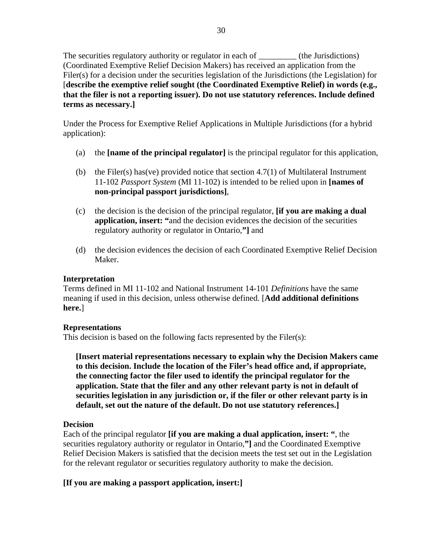The securities regulatory authority or regulator in each of \_\_\_\_\_\_\_\_\_\_ (the Jurisdictions) (Coordinated Exemptive Relief Decision Makers) has received an application from the Filer(s) for a decision under the securities legislation of the Jurisdictions (the Legislation) for [**describe the exemptive relief sought (the Coordinated Exemptive Relief) in words (e.g., that the filer is not a reporting issuer). Do not use statutory references. Include defined terms as necessary.]** 

Under the Process for Exemptive Relief Applications in Multiple Jurisdictions (for a hybrid application):

- (a) the **[name of the principal regulator]** is the principal regulator for this application,
- (b) the Filer(s) has(ve) provided notice that section  $4.7(1)$  of Multilateral Instrument 11-102 *Passport System* (MI 11-102) is intended to be relied upon in **[names of non-principal passport jurisdictions]**,
- (c) the decision is the decision of the principal regulator, **[if you are making a dual application, insert: "**and the decision evidences the decision of the securities regulatory authority or regulator in Ontario,**"]** and
- (d) the decision evidences the decision of each Coordinated Exemptive Relief Decision Maker.

## **Interpretation**

Terms defined in MI 11-102 and National Instrument 14-101 *Definitions* have the same meaning if used in this decision, unless otherwise defined. [**Add additional definitions here.**]

## **Representations**

This decision is based on the following facts represented by the Filer(s):

**[Insert material representations necessary to explain why the Decision Makers came to this decision. Include the location of the Filer's head office and, if appropriate, the connecting factor the filer used to identify the principal regulator for the application. State that the filer and any other relevant party is not in default of securities legislation in any jurisdiction or, if the filer or other relevant party is in default, set out the nature of the default. Do not use statutory references.]** 

## **Decision**

Each of the principal regulator **[if you are making a dual application, insert: "**, the securities regulatory authority or regulator in Ontario,**"]** and the Coordinated Exemptive Relief Decision Makers is satisfied that the decision meets the test set out in the Legislation for the relevant regulator or securities regulatory authority to make the decision.

## **[If you are making a passport application, insert:]**